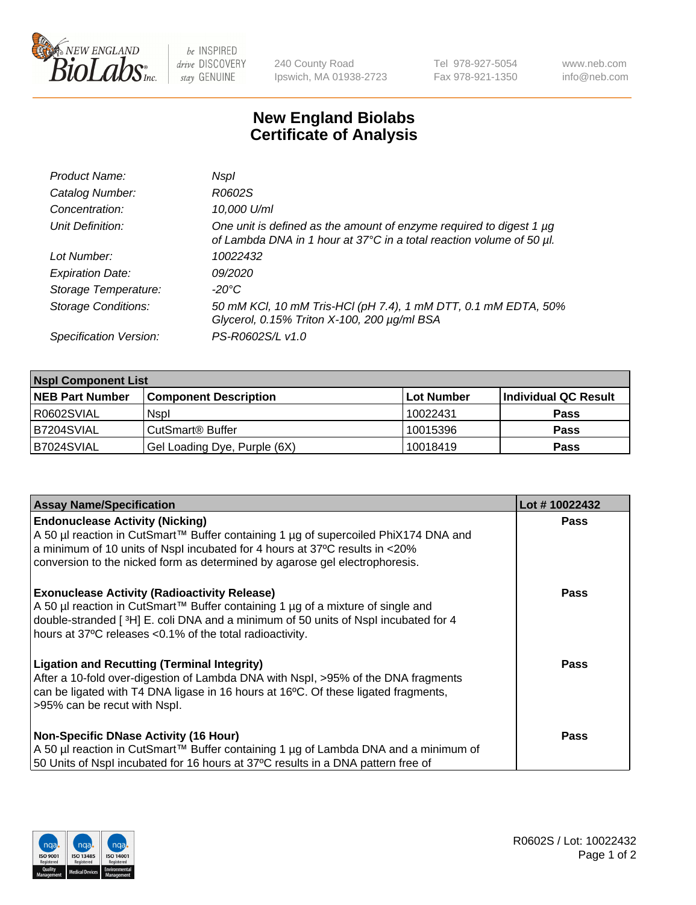

 $be$  INSPIRED drive DISCOVERY stay GENUINE

240 County Road Ipswich, MA 01938-2723 Tel 978-927-5054 Fax 978-921-1350 www.neb.com info@neb.com

## **New England Biolabs Certificate of Analysis**

| Product Name:              | Nspl                                                                                                                                             |
|----------------------------|--------------------------------------------------------------------------------------------------------------------------------------------------|
| Catalog Number:            | R0602S                                                                                                                                           |
| Concentration:             | 10,000 U/ml                                                                                                                                      |
| Unit Definition:           | One unit is defined as the amount of enzyme required to digest 1 $\mu$ g<br>of Lambda DNA in 1 hour at 37°C in a total reaction volume of 50 µl. |
| Lot Number:                | 10022432                                                                                                                                         |
| <b>Expiration Date:</b>    | 09/2020                                                                                                                                          |
| Storage Temperature:       | -20°C                                                                                                                                            |
| <b>Storage Conditions:</b> | 50 mM KCl, 10 mM Tris-HCl (pH 7.4), 1 mM DTT, 0.1 mM EDTA, 50%<br>Glycerol, 0.15% Triton X-100, 200 µg/ml BSA                                    |
| Specification Version:     | PS-R0602S/L v1.0                                                                                                                                 |

| <b>Nspl Component List</b> |                              |            |                      |  |  |
|----------------------------|------------------------------|------------|----------------------|--|--|
| <b>NEB Part Number</b>     | <b>Component Description</b> | Lot Number | Individual QC Result |  |  |
| I R0602SVIAL               | <b>Nspl</b>                  | 10022431   | <b>Pass</b>          |  |  |
| B7204SVIAL                 | CutSmart <sup>®</sup> Buffer | 10015396   | <b>Pass</b>          |  |  |
| B7024SVIAL                 | Gel Loading Dye, Purple (6X) | 10018419   | <b>Pass</b>          |  |  |

| <b>Assay Name/Specification</b>                                                                                                                                                                                                                                                          | Lot #10022432 |
|------------------------------------------------------------------------------------------------------------------------------------------------------------------------------------------------------------------------------------------------------------------------------------------|---------------|
| <b>Endonuclease Activity (Nicking)</b><br>  A 50 µl reaction in CutSmart™ Buffer containing 1 µg of supercoiled PhiX174 DNA and                                                                                                                                                          | <b>Pass</b>   |
| a minimum of 10 units of Nspl incubated for 4 hours at 37°C results in <20%<br>conversion to the nicked form as determined by agarose gel electrophoresis.                                                                                                                               |               |
| <b>Exonuclease Activity (Radioactivity Release)</b><br>A 50 µl reaction in CutSmart™ Buffer containing 1 µg of a mixture of single and<br>double-stranded [3H] E. coli DNA and a minimum of 50 units of Nspl incubated for 4<br>hours at 37°C releases <0.1% of the total radioactivity. | <b>Pass</b>   |
| Ligation and Recutting (Terminal Integrity)<br>After a 10-fold over-digestion of Lambda DNA with Nspl, >95% of the DNA fragments<br>can be ligated with T4 DNA ligase in 16 hours at 16 <sup>o</sup> C. Of these ligated fragments,<br>>95% can be recut with Nspl.                      | Pass          |
| Non-Specific DNase Activity (16 Hour)                                                                                                                                                                                                                                                    | <b>Pass</b>   |
| A 50 µl reaction in CutSmart™ Buffer containing 1 µg of Lambda DNA and a minimum of<br>50 Units of Nspl incubated for 16 hours at 37°C results in a DNA pattern free of                                                                                                                  |               |